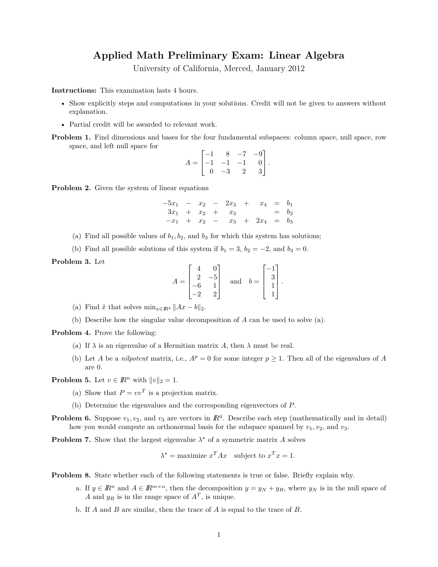## **Applied Math Preliminary Exam: Linear Algebra**

University of California, Merced, January 2012

**Instructions:** This examination lasts 4 hours.

- Show explicitly steps and computations in your solutions. Credit will not be given to answers without explanation.
- Partial credit will be awarded to relevant work.
- **Problem 1.** Find dimensions and bases for the four fundamental subspaces: column space, null space, row space, and left null space for

$$
A = \begin{bmatrix} -1 & 8 & -7 & -9 \\ -1 & -1 & -1 & 0 \\ 0 & -3 & 2 & 3 \end{bmatrix}.
$$

**Problem 2.** Given the system of linear equations

$$
\begin{array}{ccccccccc}\n-5x_1 & - & x_2 & - & 2x_3 & + & x_4 & = & b_1 \\
3x_1 & + & x_2 & + & x_3 & & = & b_2 \\
-x_1 & + & x_2 & - & x_3 & + & 2x_4 & = & b_3\n\end{array}
$$

- (a) Find all possible values of  $b_1, b_2$ , and  $b_3$  for which this system has solutions;
- (b) Find all possible solutions of this system if  $b_1 = 3$ ,  $b_2 = -2$ , and  $b_3 = 0$ .

**Problem 3.** Let

$$
A = \begin{bmatrix} 4 & 0 \\ 2 & -5 \\ -6 & 1 \\ -2 & 2 \end{bmatrix} \text{ and } b = \begin{bmatrix} -1 \\ 3 \\ 1 \\ 1 \end{bmatrix}
$$

*.*

- (a) Find  $\hat{x}$  that solves  $\min_{x \in \mathbb{R}^4} ||Ax b||_2$ .
- (b) Describe how the singular value decomposition of *A* can be used to solve (a).

**Problem 4.** Prove the following:

- (a) If  $\lambda$  is an eigenvalue of a Hermitian matrix A, then  $\lambda$  must be real.
- (b) Let *A* be a *nilpotent* matrix, i.e.,  $A^p = 0$  for some integer  $p \ge 1$ . Then all of the eigenvalues of *A* are 0.

**Problem 5.** Let  $v \in \mathbb{R}^n$  with  $||v||_2 = 1$ .

- (a) Show that  $P = vv<sup>T</sup>$  is a projection matrix.
- (b) Determine the eigenvalues and the corresponding eigenvectors of *P*.
- **Problem 6.** Suppose  $v_1, v_2$ , and  $v_3$  are vectors in  $\mathbb{R}^4$ . Describe each step (mathematically and in detail) how you would compute an orthonormal basis for the subspace spanned by  $v_1, v_2$ , and  $v_3$ .

**Problem 7.** Show that the largest eigenvalue  $\lambda^*$  of a symmetric matrix A solves

$$
\lambda^* = \text{maximize } x^T A x \quad \text{subject to } x^T x = 1.
$$

**Problem 8.** State whether each of the following statements is true or false. Briefly explain why.

- a. If  $y \in \mathbb{R}^n$  and  $A \in \mathbb{R}^{m \times n}$ , then the decomposition  $y = y_N + y_R$ , where  $y_N$  is in the null space of *A* and  $y_R$  is in the range space of  $A<sup>T</sup>$ , is unique.
- b. If *A* and *B* are similar, then the trace of *A* is equal to the trace of *B*.